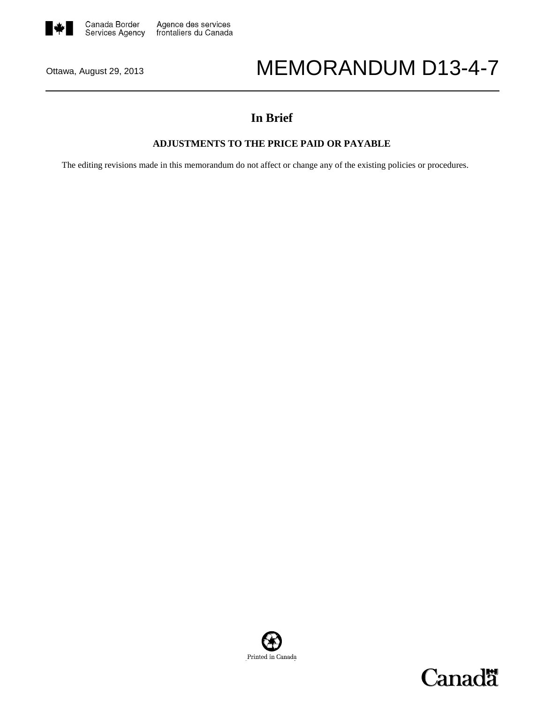

# Ottawa, August 29, 2013 MEMORANDUM D13-4-7

# **In Brief**

# **ADJUSTMENTS TO THE PRICE PAID OR PAYABLE**

The editing revisions made in this memorandum do not affect or change any of the existing policies or procedures.



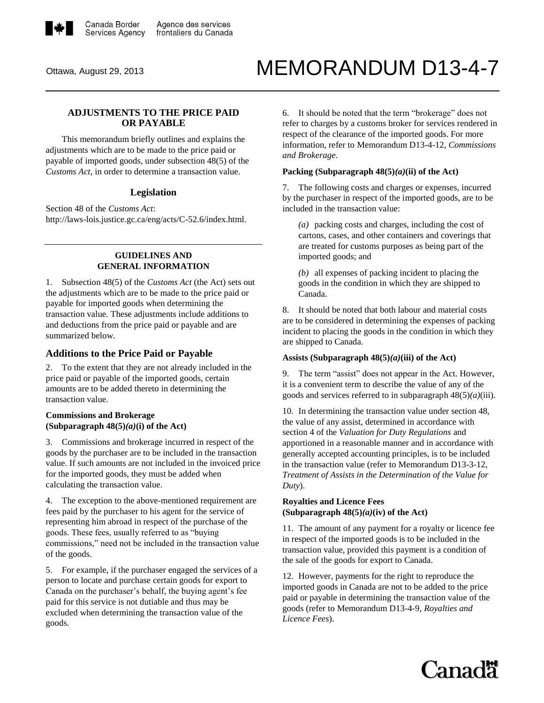

# Ottawa, August 29, 2013 MEMORANDUM D13-4-7

# **ADJUSTMENTS TO THE PRICE PAID OR PAYABLE**

This memorandum briefly outlines and explains the adjustments which are to be made to the price paid or payable of imported goods, under subsection 48(5) of the *[Customs Act](http://laws-lois.justice.gc.ca/eng/acts/C-52.6/index.html)*, in order to determine a transaction value.

#### **Legislation**

Section 48 of the *Customs Act*: [http://laws-lois.justice.gc.ca/eng/acts/C-52.6/index.html.](http://laws-lois.justice.gc.ca/eng/acts/C-52.6/index.html)

#### **GUIDELINES AND GENERAL INFORMATION**

1. Subsection 48(5) of the *[Customs Act](http://laws-lois.justice.gc.ca/eng/acts/C-52.6/index.html)* (the Act) sets out the adjustments which are to be made to the price paid or payable for imported goods when determining the transaction value. These adjustments include additions to and deductions from the price paid or payable and are summarized below.

# **Additions to the Price Paid or Payable**

2. To the extent that they are not already included in the price paid or payable of the imported goods, certain amounts are to be added thereto in determining the transaction value.

# **Commissions and Brokerage (Subparagraph 48(5)***(a)***(i) of the Act)**

3. Commissions and brokerage incurred in respect of the goods by the purchaser are to be included in the transaction value. If such amounts are not included in the invoiced price for the imported goods, they must be added when calculating the transaction value.

4. The exception to the above-mentioned requirement are fees paid by the purchaser to his agent for the service of representing him abroad in respect of the purchase of the goods. These fees, usually referred to as "buying commissions," need not be included in the transaction value of the goods.

5. For example, if the purchaser engaged the services of a person to locate and purchase certain goods for export to Canada on the purchaser's behalf, the buying agent's fee paid for this service is not dutiable and thus may be excluded when determining the transaction value of the goods.

6. It should be noted that the term "brokerage" does not refer to charges by a customs broker for services rendered in respect of the clearance of the imported goods. For more information, refer to [Memorandum D13-4-12,](http://cbsa.gc.ca/publications/dm-md/d13/d13-4-12-eng.html) *Commissions and Brokerage*.

#### **Packing (Subparagraph 48(5)***(a)***(ii) of the Act)**

7. The following costs and charges or expenses, incurred by the purchaser in respect of the imported goods, are to be included in the transaction value:

*(a)* packing costs and charges, including the cost of cartons, cases, and other containers and coverings that are treated for customs purposes as being part of the imported goods; and

*(b)* all expenses of packing incident to placing the goods in the condition in which they are shipped to Canada.

8. It should be noted that both labour and material costs are to be considered in determining the expenses of packing incident to placing the goods in the condition in which they are shipped to Canada.

#### **Assists (Subparagraph 48(5)***(a)***(iii) of the Act)**

9. The term "assist" does not appear in the Act. However, it is a convenient term to describe the value of any of the goods and services referred to in subparagraph 48(5)*(a)*(iii).

10. In determining the transaction value under section 48, the value of any assist, determined in accordance with section 4 of the *[Valuation for Duty Regulations](http://laws-lois.justice.gc.ca/eng/regulations/SOR-86-792/)* and apportioned in a reasonable manner and in accordance with generally accepted accounting principles, is to be included in the transaction value (refer to [Memorandum D13-3-12,](http://cbsa.gc.ca/publications/dm-md/d13/d13-3-12-eng.html) *Treatment of Assists in the Determination of the Value for Duty*).

#### **Royalties and Licence Fees (Subparagraph 48(5)***(a)***(iv) of the Act)**

11. The amount of any payment for a royalty or licence fee in respect of the imported goods is to be included in the transaction value, provided this payment is a condition of the sale of the goods for export to Canada.

12. However, payments for the right to reproduce the imported goods in Canada are not to be added to the price paid or payable in determining the transaction value of the goods (refer to [Memorandum D13-4-9,](http://cbsa.gc.ca/publications/dm-md/d13/d13-4-9-eng.html) *Royalties and Licence Fees*).

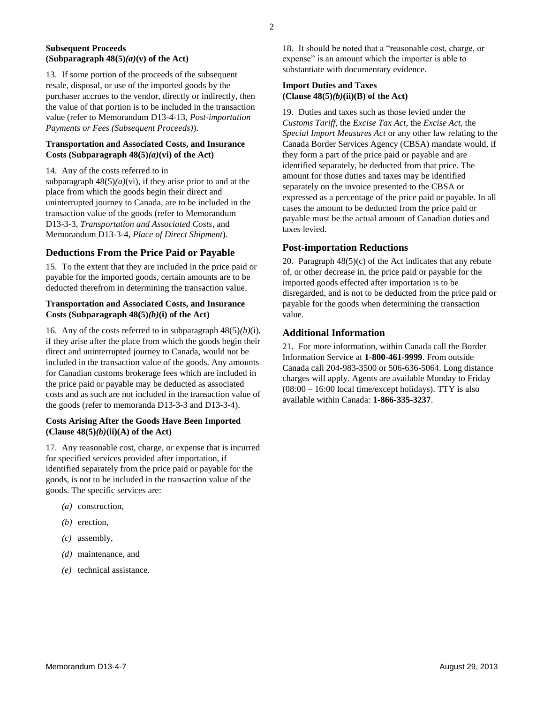#### **Subsequent Proceeds (Subparagraph 48(5)***(a)***(v) of the Act)**

13. If some portion of the proceeds of the subsequent resale, disposal, or use of the imported goods by the purchaser accrues to the vendor, directly or indirectly, then the value of that portion is to be included in the transaction value (refer t[o Memorandum D13-4-13,](http://cbsa.gc.ca/publications/dm-md/d13/d13-4-13-eng.html) *Post-importation Payments or Fees (Subsequent Proceeds)*).

#### **Transportation and Associated Costs, and Insurance Costs (Subparagraph 48(5)***(a)***(vi) of the Act)**

14. Any of the costs referred to in

subparagraph  $48(5)(a)(vi)$ , if they arise prior to and at the place from which the goods begin their direct and uninterrupted journey to Canada, are to be included in the transaction value of the goods (refer to [Memorandum](http://cbsa.gc.ca/publications/dm-md/d13/d13-3-3-eng.html)  [D13-3-3,](http://cbsa.gc.ca/publications/dm-md/d13/d13-3-3-eng.html) *Transportation and Associated Costs*, and [Memorandum D13-3-4,](http://cbsa.gc.ca/publications/dm-md/d13/d13-3-4-eng.html) *Place of Direct Shipment*).

# **Deductions From the Price Paid or Payable**

15. To the extent that they are included in the price paid or payable for the imported goods, certain amounts are to be deducted therefrom in determining the transaction value.

#### **Transportation and Associated Costs, and Insurance Costs (Subparagraph 48(5)***(b)***(i) of the Act)**

16. Any of the costs referred to in subparagraph 48(5)*(b)*(i), if they arise after the place from which the goods begin their direct and uninterrupted journey to Canada, would not be included in the transaction value of the goods. Any amounts for Canadian customs brokerage fees which are included in the price paid or payable may be deducted as associated costs and as such are not included in the transaction value of the goods (refer to memoranda [D13-3-3](http://cbsa.gc.ca/publications/dm-md/d13/d13-3-3-eng.html) and [D13-3-4\)](http://cbsa.gc.ca/publications/dm-md/d13/d13-3-4-eng.html).

#### **Costs Arising After the Goods Have Been Imported (Clause 48(5)***(b)***(ii)(A) of the Act)**

17. Any reasonable cost, charge, or expense that is incurred for specified services provided after importation, if identified separately from the price paid or payable for the goods, is not to be included in the transaction value of the goods. The specific services are:

- *(a)* construction,
- *(b)* erection,
- *(c)* assembly,
- *(d)* maintenance, and
- *(e)* technical assistance.

18. It should be noted that a "reasonable cost, charge, or expense" is an amount which the importer is able to substantiate with documentary evidence.

#### **Import Duties and Taxes (Clause 48(5)***(b)***(ii)(B) of the Act)**

19. Duties and taxes such as those levied under the *[Customs Tariff](http://lois-laws.justice.gc.ca/eng/acts/c-54.011/)*, the *[Excise Tax Act](http://laws-lois.justice.gc.ca/eng/acts/e-15/)*, the *[Excise Act](http://laws-lois.justice.gc.ca/eng/acts/e-14/)*, the *[Special Import Measures Act](http://laws-lois.justice.gc.ca/eng/acts/s-15/)* or any other law relating to the Canada Border Services Agency (CBSA) mandate would, if they form a part of the price paid or payable and are identified separately, be deducted from that price. The amount for those duties and taxes may be identified separately on the invoice presented to the CBSA or expressed as a percentage of the price paid or payable. In all cases the amount to be deducted from the price paid or payable must be the actual amount of Canadian duties and taxes levied.

# **Post-importation Reductions**

20. Paragraph 48(5)(c) of the Act indicates that any rebate of, or other decrease in, the price paid or payable for the imported goods effected after importation is to be disregarded, and is not to be deducted from the price paid or payable for the goods when determining the transaction value.

# **Additional Information**

21. For more information, within Canada call the Border Information Service at **1-800-461-9999**. From outside Canada call 204-983-3500 or 506-636-5064. Long distance charges will apply. Agents are available Monday to Friday  $(08:00 - 16:00$  local time/except holidays). TTY is also available within Canada: **1-866-335-3237**.